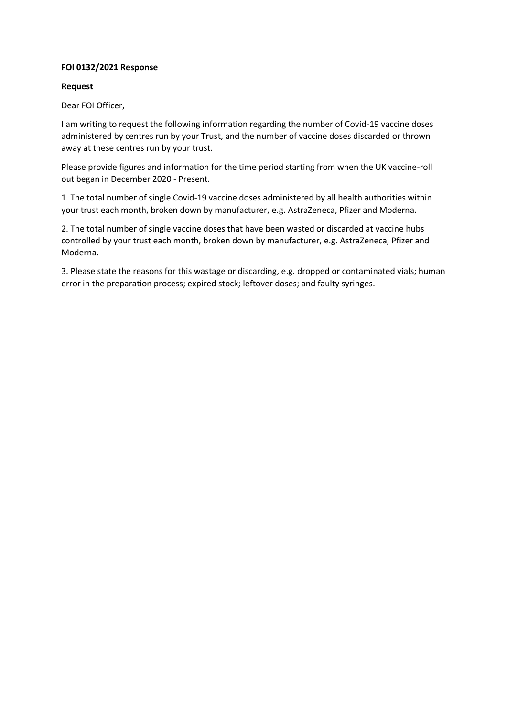## **FOI 0132/2021 Response**

## **Request**

Dear FOI Officer,

I am writing to request the following information regarding the number of Covid-19 vaccine doses administered by centres run by your Trust, and the number of vaccine doses discarded or thrown away at these centres run by your trust.

Please provide figures and information for the time period starting from when the UK vaccine-roll out began in December 2020 - Present.

1. The total number of single Covid-19 vaccine doses administered by all health authorities within your trust each month, broken down by manufacturer, e.g. AstraZeneca, Pfizer and Moderna.

2. The total number of single vaccine doses that have been wasted or discarded at vaccine hubs controlled by your trust each month, broken down by manufacturer, e.g. AstraZeneca, Pfizer and Moderna.

3. Please state the reasons for this wastage or discarding, e.g. dropped or contaminated vials; human error in the preparation process; expired stock; leftover doses; and faulty syringes.